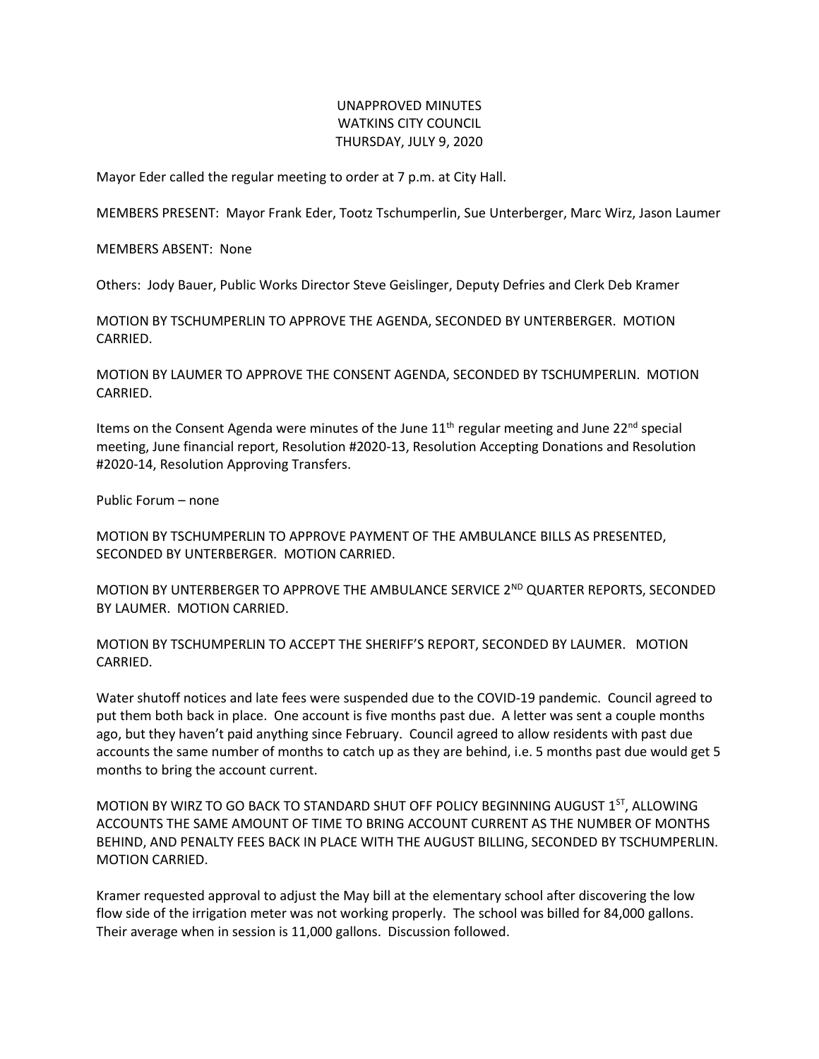## UNAPPROVED MINUTES WATKINS CITY COUNCIL THURSDAY, JULY 9, 2020

Mayor Eder called the regular meeting to order at 7 p.m. at City Hall.

MEMBERS PRESENT: Mayor Frank Eder, Tootz Tschumperlin, Sue Unterberger, Marc Wirz, Jason Laumer

MEMBERS ABSENT: None

Others: Jody Bauer, Public Works Director Steve Geislinger, Deputy Defries and Clerk Deb Kramer

MOTION BY TSCHUMPERLIN TO APPROVE THE AGENDA, SECONDED BY UNTERBERGER. MOTION CARRIED.

MOTION BY LAUMER TO APPROVE THE CONSENT AGENDA, SECONDED BY TSCHUMPERLIN. MOTION CARRIED.

Items on the Consent Agenda were minutes of the June  $11<sup>th</sup>$  regular meeting and June  $22<sup>nd</sup>$  special meeting, June financial report, Resolution #2020-13, Resolution Accepting Donations and Resolution #2020-14, Resolution Approving Transfers.

Public Forum – none

MOTION BY TSCHUMPERLIN TO APPROVE PAYMENT OF THE AMBULANCE BILLS AS PRESENTED, SECONDED BY UNTERBERGER. MOTION CARRIED.

MOTION BY UNTERBERGER TO APPROVE THE AMBULANCE SERVICE 2<sup>ND</sup> QUARTER REPORTS, SECONDED BY LAUMER. MOTION CARRIED.

MOTION BY TSCHUMPERLIN TO ACCEPT THE SHERIFF'S REPORT, SECONDED BY LAUMER. MOTION CARRIED.

Water shutoff notices and late fees were suspended due to the COVID-19 pandemic. Council agreed to put them both back in place. One account is five months past due. A letter was sent a couple months ago, but they haven't paid anything since February. Council agreed to allow residents with past due accounts the same number of months to catch up as they are behind, i.e. 5 months past due would get 5 months to bring the account current.

MOTION BY WIRZ TO GO BACK TO STANDARD SHUT OFF POLICY BEGINNING AUGUST 1<sup>ST</sup>, ALLOWING ACCOUNTS THE SAME AMOUNT OF TIME TO BRING ACCOUNT CURRENT AS THE NUMBER OF MONTHS BEHIND, AND PENALTY FEES BACK IN PLACE WITH THE AUGUST BILLING, SECONDED BY TSCHUMPERLIN. MOTION CARRIED.

Kramer requested approval to adjust the May bill at the elementary school after discovering the low flow side of the irrigation meter was not working properly. The school was billed for 84,000 gallons. Their average when in session is 11,000 gallons. Discussion followed.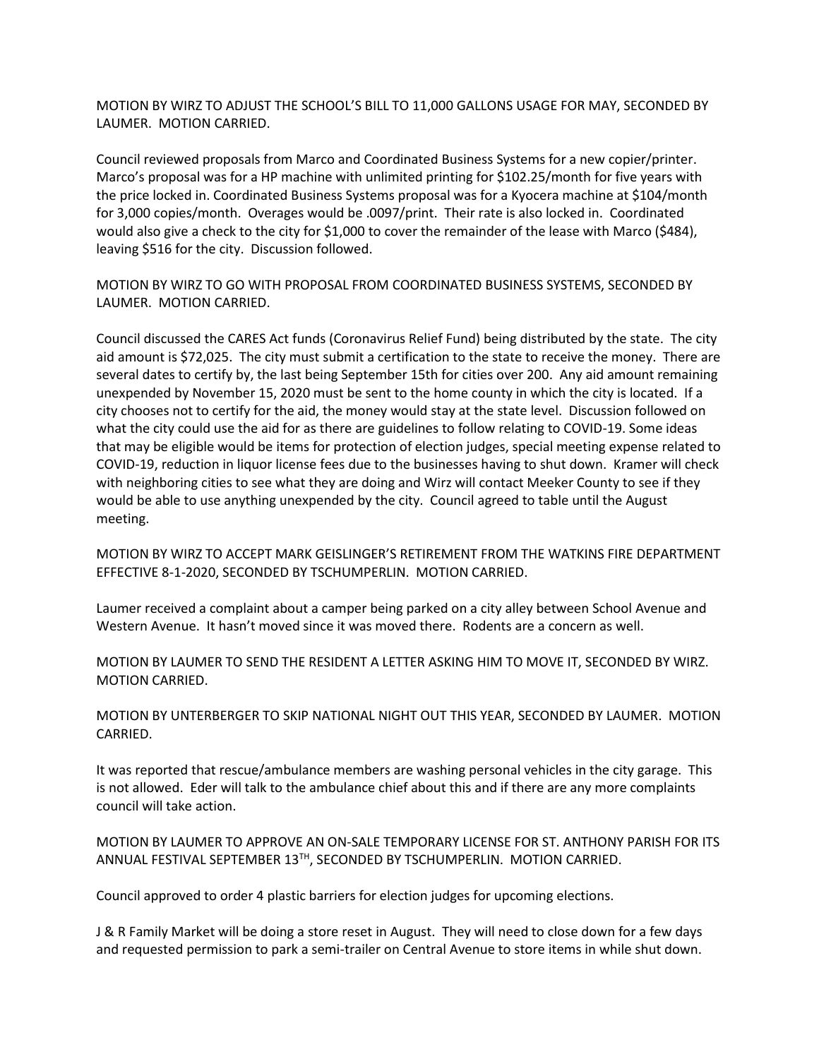MOTION BY WIRZ TO ADJUST THE SCHOOL'S BILL TO 11,000 GALLONS USAGE FOR MAY, SECONDED BY LAUMER. MOTION CARRIED.

Council reviewed proposals from Marco and Coordinated Business Systems for a new copier/printer. Marco's proposal was for a HP machine with unlimited printing for \$102.25/month for five years with the price locked in. Coordinated Business Systems proposal was for a Kyocera machine at \$104/month for 3,000 copies/month. Overages would be .0097/print. Their rate is also locked in. Coordinated would also give a check to the city for \$1,000 to cover the remainder of the lease with Marco (\$484), leaving \$516 for the city. Discussion followed.

MOTION BY WIRZ TO GO WITH PROPOSAL FROM COORDINATED BUSINESS SYSTEMS, SECONDED BY LAUMER. MOTION CARRIED.

Council discussed the CARES Act funds (Coronavirus Relief Fund) being distributed by the state. The city aid amount is \$72,025. The city must submit a certification to the state to receive the money. There are several dates to certify by, the last being September 15th for cities over 200. Any aid amount remaining unexpended by November 15, 2020 must be sent to the home county in which the city is located. If a city chooses not to certify for the aid, the money would stay at the state level. Discussion followed on what the city could use the aid for as there are guidelines to follow relating to COVID-19. Some ideas that may be eligible would be items for protection of election judges, special meeting expense related to COVID-19, reduction in liquor license fees due to the businesses having to shut down. Kramer will check with neighboring cities to see what they are doing and Wirz will contact Meeker County to see if they would be able to use anything unexpended by the city. Council agreed to table until the August meeting.

MOTION BY WIRZ TO ACCEPT MARK GEISLINGER'S RETIREMENT FROM THE WATKINS FIRE DEPARTMENT EFFECTIVE 8-1-2020, SECONDED BY TSCHUMPERLIN. MOTION CARRIED.

Laumer received a complaint about a camper being parked on a city alley between School Avenue and Western Avenue. It hasn't moved since it was moved there. Rodents are a concern as well.

MOTION BY LAUMER TO SEND THE RESIDENT A LETTER ASKING HIM TO MOVE IT, SECONDED BY WIRZ. MOTION CARRIED.

MOTION BY UNTERBERGER TO SKIP NATIONAL NIGHT OUT THIS YEAR, SECONDED BY LAUMER. MOTION CARRIED.

It was reported that rescue/ambulance members are washing personal vehicles in the city garage. This is not allowed. Eder will talk to the ambulance chief about this and if there are any more complaints council will take action.

MOTION BY LAUMER TO APPROVE AN ON-SALE TEMPORARY LICENSE FOR ST. ANTHONY PARISH FOR ITS ANNUAL FESTIVAL SEPTEMBER 13TH, SECONDED BY TSCHUMPERLIN. MOTION CARRIED.

Council approved to order 4 plastic barriers for election judges for upcoming elections.

J & R Family Market will be doing a store reset in August. They will need to close down for a few days and requested permission to park a semi-trailer on Central Avenue to store items in while shut down.